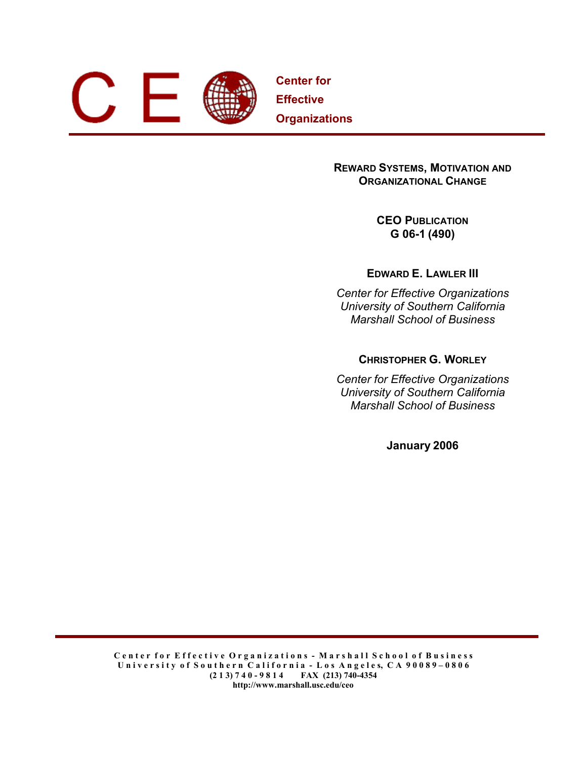

**Center for Effective Organizations**

# **REWARD SYSTEMS, MOTIVATION AND ORGANIZATIONAL CHANGE**

**CEO PUBLICATION G 06-1 (490)** 

**EDWARD E. LAWLER III** 

*Center for Effective Organizations University of Southern California Marshall School of Business* 

**CHRISTOPHER G. WORLEY**

*Center for Effective Organizations University of Southern California Marshall School of Business* 

**January 2006**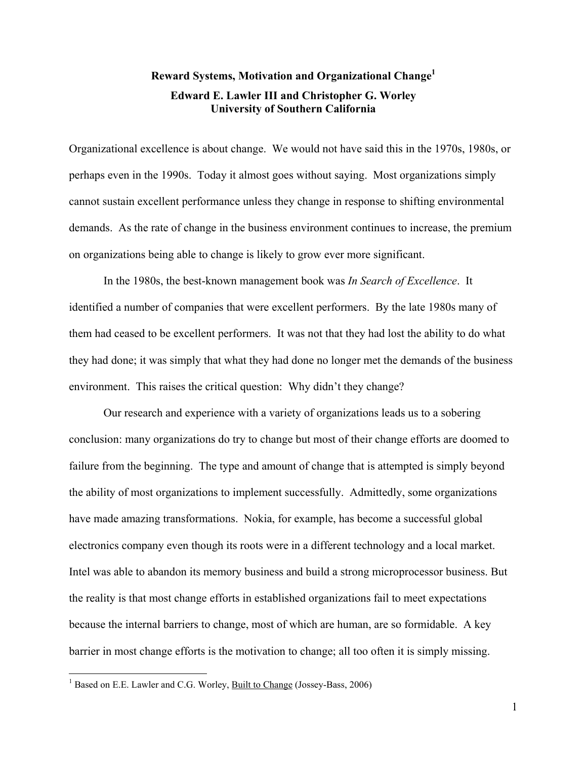# **Reward Systems, Motivation and Organizational Chang[e1](#page-1-0) Edward E. Lawler III and Christopher G. Worley University of Southern California**

Organizational excellence is about change. We would not have said this in the 1970s, 1980s, or perhaps even in the 1990s. Today it almost goes without saying. Most organizations simply cannot sustain excellent performance unless they change in response to shifting environmental demands. As the rate of change in the business environment continues to increase, the premium on organizations being able to change is likely to grow ever more significant.

In the 1980s, the best-known management book was *In Search of Excellence*. It identified a number of companies that were excellent performers. By the late 1980s many of them had ceased to be excellent performers. It was not that they had lost the ability to do what they had done; it was simply that what they had done no longer met the demands of the business environment. This raises the critical question: Why didn't they change?

Our research and experience with a variety of organizations leads us to a sobering conclusion: many organizations do try to change but most of their change efforts are doomed to failure from the beginning. The type and amount of change that is attempted is simply beyond the ability of most organizations to implement successfully. Admittedly, some organizations have made amazing transformations. Nokia, for example, has become a successful global electronics company even though its roots were in a different technology and a local market. Intel was able to abandon its memory business and build a strong microprocessor business. But the reality is that most change efforts in established organizations fail to meet expectations because the internal barriers to change, most of which are human, are so formidable. A key barrier in most change efforts is the motivation to change; all too often it is simply missing.

 $\overline{a}$ 

<span id="page-1-0"></span><sup>&</sup>lt;sup>1</sup> Based on E.E. Lawler and C.G. Worley, **Built to Change (Jossey-Bass, 2006)**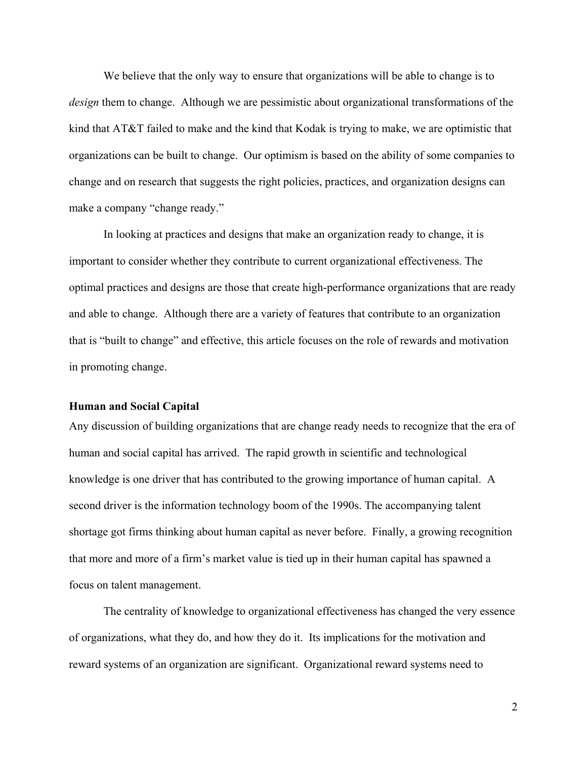We believe that the only way to ensure that organizations will be able to change is to *design* them to change. Although we are pessimistic about organizational transformations of the kind that AT&T failed to make and the kind that Kodak is trying to make, we are optimistic that organizations can be built to change. Our optimism is based on the ability of some companies to change and on research that suggests the right policies, practices, and organization designs can make a company "change ready."

In looking at practices and designs that make an organization ready to change, it is important to consider whether they contribute to current organizational effectiveness. The optimal practices and designs are those that create high-performance organizations that are ready and able to change. Although there are a variety of features that contribute to an organization that is "built to change" and effective, this article focuses on the role of rewards and motivation in promoting change.

# **Human and Social Capital**

Any discussion of building organizations that are change ready needs to recognize that the era of human and social capital has arrived. The rapid growth in scientific and technological knowledge is one driver that has contributed to the growing importance of human capital. A second driver is the information technology boom of the 1990s. The accompanying talent shortage got firms thinking about human capital as never before. Finally, a growing recognition that more and more of a firm's market value is tied up in their human capital has spawned a focus on talent management.

The centrality of knowledge to organizational effectiveness has changed the very essence of organizations, what they do, and how they do it. Its implications for the motivation and reward systems of an organization are significant. Organizational reward systems need to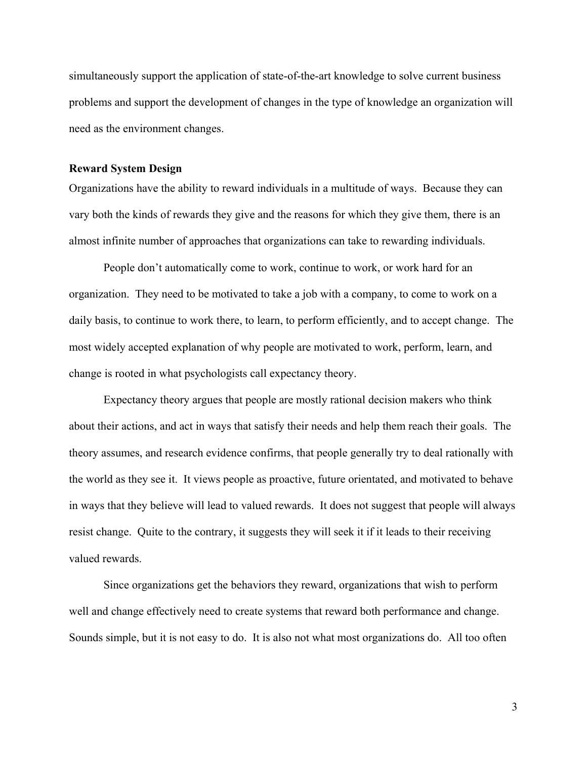simultaneously support the application of state-of-the-art knowledge to solve current business problems and support the development of changes in the type of knowledge an organization will need as the environment changes.

# **Reward System Design**

Organizations have the ability to reward individuals in a multitude of ways. Because they can vary both the kinds of rewards they give and the reasons for which they give them, there is an almost infinite number of approaches that organizations can take to rewarding individuals.

People don't automatically come to work, continue to work, or work hard for an organization. They need to be motivated to take a job with a company, to come to work on a daily basis, to continue to work there, to learn, to perform efficiently, and to accept change. The most widely accepted explanation of why people are motivated to work, perform, learn, and change is rooted in what psychologists call expectancy theory.

Expectancy theory argues that people are mostly rational decision makers who think about their actions, and act in ways that satisfy their needs and help them reach their goals. The theory assumes, and research evidence confirms, that people generally try to deal rationally with the world as they see it. It views people as proactive, future orientated, and motivated to behave in ways that they believe will lead to valued rewards. It does not suggest that people will always resist change. Quite to the contrary, it suggests they will seek it if it leads to their receiving valued rewards.

Since organizations get the behaviors they reward, organizations that wish to perform well and change effectively need to create systems that reward both performance and change. Sounds simple, but it is not easy to do. It is also not what most organizations do. All too often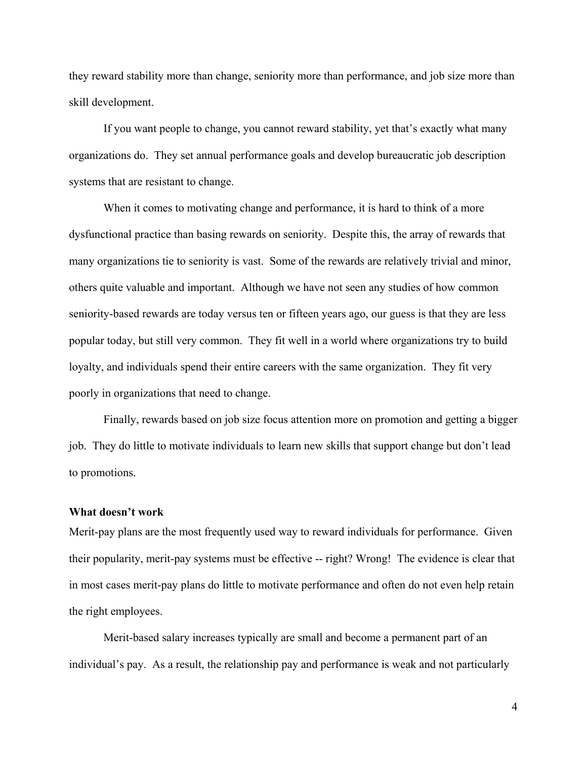they reward stability more than change, seniority more than performance, and job size more than skill development.

If you want people to change, you cannot reward stability, yet that's exactly what many organizations do. They set annual performance goals and develop bureaucratic job description systems that are resistant to change.

When it comes to motivating change and performance, it is hard to think of a more dysfunctional practice than basing rewards on seniority. Despite this, the array of rewards that many organizations tie to seniority is vast. Some of the rewards are relatively trivial and minor, others quite valuable and important. Although we have not seen any studies of how common seniority-based rewards are today versus ten or fifteen years ago, our guess is that they are less popular today, but still very common. They fit well in a world where organizations try to build loyalty, and individuals spend their entire careers with the same organization. They fit very poorly in organizations that need to change.

Finally, rewards based on job size focus attention more on promotion and getting a bigger job. They do little to motivate individuals to learn new skills that support change but don't lead to promotions.

### **What doesn't work**

Merit-pay plans are the most frequently used way to reward individuals for performance. Given their popularity, merit-pay systems must be effective -- right? Wrong! The evidence is clear that in most cases merit-pay plans do little to motivate performance and often do not even help retain the right employees.

Merit-based salary increases typically are small and become a permanent part of an individual's pay. As a result, the relationship pay and performance is weak and not particularly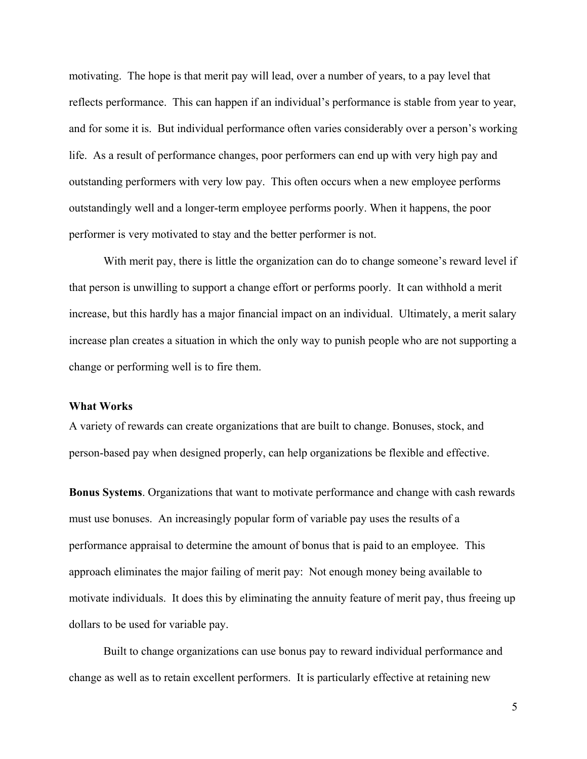motivating. The hope is that merit pay will lead, over a number of years, to a pay level that reflects performance. This can happen if an individual's performance is stable from year to year, and for some it is. But individual performance often varies considerably over a person's working life. As a result of performance changes, poor performers can end up with very high pay and outstanding performers with very low pay. This often occurs when a new employee performs outstandingly well and a longer-term employee performs poorly. When it happens, the poor performer is very motivated to stay and the better performer is not.

With merit pay, there is little the organization can do to change someone's reward level if that person is unwilling to support a change effort or performs poorly. It can withhold a merit increase, but this hardly has a major financial impact on an individual. Ultimately, a merit salary increase plan creates a situation in which the only way to punish people who are not supporting a change or performing well is to fire them.

### **What Works**

A variety of rewards can create organizations that are built to change. Bonuses, stock, and person-based pay when designed properly, can help organizations be flexible and effective.

**Bonus Systems**. Organizations that want to motivate performance and change with cash rewards must use bonuses. An increasingly popular form of variable pay uses the results of a performance appraisal to determine the amount of bonus that is paid to an employee. This approach eliminates the major failing of merit pay: Not enough money being available to motivate individuals. It does this by eliminating the annuity feature of merit pay, thus freeing up dollars to be used for variable pay.

Built to change organizations can use bonus pay to reward individual performance and change as well as to retain excellent performers. It is particularly effective at retaining new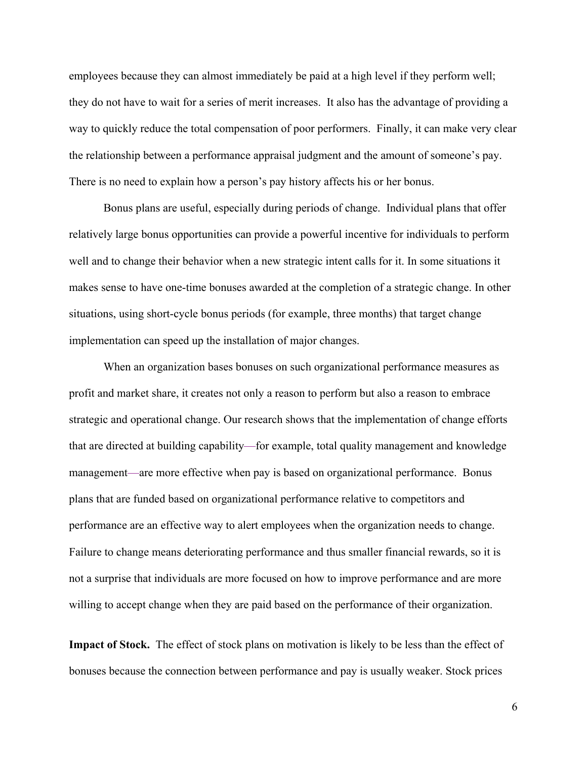employees because they can almost immediately be paid at a high level if they perform well; they do not have to wait for a series of merit increases. It also has the advantage of providing a way to quickly reduce the total compensation of poor performers. Finally, it can make very clear the relationship between a performance appraisal judgment and the amount of someone's pay. There is no need to explain how a person's pay history affects his or her bonus.

Bonus plans are useful, especially during periods of change. Individual plans that offer relatively large bonus opportunities can provide a powerful incentive for individuals to perform well and to change their behavior when a new strategic intent calls for it. In some situations it makes sense to have one-time bonuses awarded at the completion of a strategic change. In other situations, using short-cycle bonus periods (for example, three months) that target change implementation can speed up the installation of major changes.

When an organization bases bonuses on such organizational performance measures as profit and market share, it creates not only a reason to perform but also a reason to embrace strategic and operational change. Our research shows that the implementation of change efforts that are directed at building capability—for example, total quality management and knowledge management—are more effective when pay is based on organizational performance. Bonus plans that are funded based on organizational performance relative to competitors and performance are an effective way to alert employees when the organization needs to change. Failure to change means deteriorating performance and thus smaller financial rewards, so it is not a surprise that individuals are more focused on how to improve performance and are more willing to accept change when they are paid based on the performance of their organization.

**Impact of Stock.** The effect of stock plans on motivation is likely to be less than the effect of bonuses because the connection between performance and pay is usually weaker. Stock prices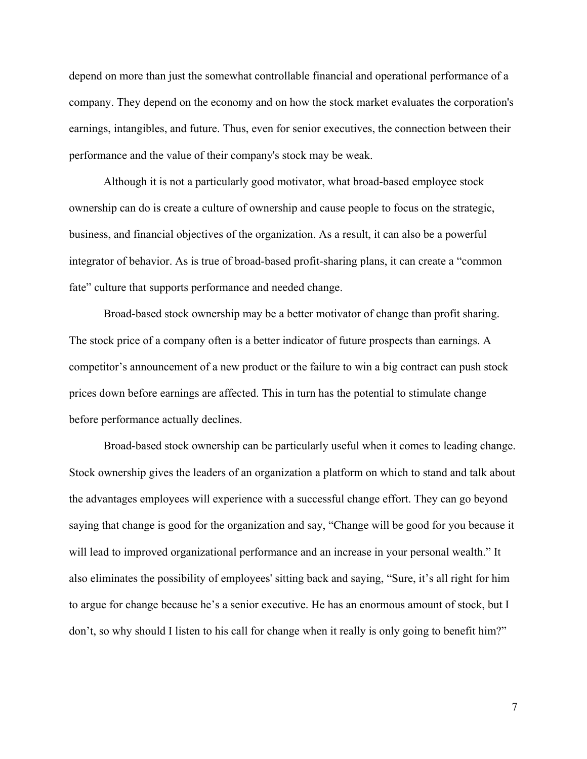depend on more than just the somewhat controllable financial and operational performance of a company. They depend on the economy and on how the stock market evaluates the corporation's earnings, intangibles, and future. Thus, even for senior executives, the connection between their performance and the value of their company's stock may be weak.

Although it is not a particularly good motivator, what broad-based employee stock ownership can do is create a culture of ownership and cause people to focus on the strategic, business, and financial objectives of the organization. As a result, it can also be a powerful integrator of behavior. As is true of broad-based profit-sharing plans, it can create a "common fate" culture that supports performance and needed change.

Broad-based stock ownership may be a better motivator of change than profit sharing. The stock price of a company often is a better indicator of future prospects than earnings. A competitor's announcement of a new product or the failure to win a big contract can push stock prices down before earnings are affected. This in turn has the potential to stimulate change before performance actually declines.

Broad-based stock ownership can be particularly useful when it comes to leading change. Stock ownership gives the leaders of an organization a platform on which to stand and talk about the advantages employees will experience with a successful change effort. They can go beyond saying that change is good for the organization and say, "Change will be good for you because it will lead to improved organizational performance and an increase in your personal wealth." It also eliminates the possibility of employees' sitting back and saying, "Sure, it's all right for him to argue for change because he's a senior executive. He has an enormous amount of stock, but I don't, so why should I listen to his call for change when it really is only going to benefit him?"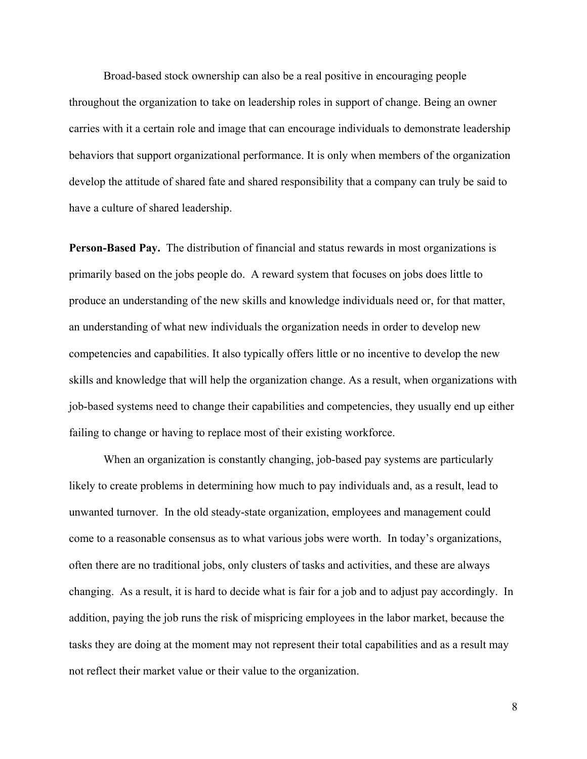Broad-based stock ownership can also be a real positive in encouraging people throughout the organization to take on leadership roles in support of change. Being an owner carries with it a certain role and image that can encourage individuals to demonstrate leadership behaviors that support organizational performance. It is only when members of the organization develop the attitude of shared fate and shared responsibility that a company can truly be said to have a culture of shared leadership.

**Person-Based Pay.** The distribution of financial and status rewards in most organizations is primarily based on the jobs people do. A reward system that focuses on jobs does little to produce an understanding of the new skills and knowledge individuals need or, for that matter, an understanding of what new individuals the organization needs in order to develop new competencies and capabilities. It also typically offers little or no incentive to develop the new skills and knowledge that will help the organization change. As a result, when organizations with job-based systems need to change their capabilities and competencies, they usually end up either failing to change or having to replace most of their existing workforce.

When an organization is constantly changing, job-based pay systems are particularly likely to create problems in determining how much to pay individuals and, as a result, lead to unwanted turnover. In the old steady-state organization, employees and management could come to a reasonable consensus as to what various jobs were worth. In today's organizations, often there are no traditional jobs, only clusters of tasks and activities, and these are always changing. As a result, it is hard to decide what is fair for a job and to adjust pay accordingly. In addition, paying the job runs the risk of mispricing employees in the labor market, because the tasks they are doing at the moment may not represent their total capabilities and as a result may not reflect their market value or their value to the organization.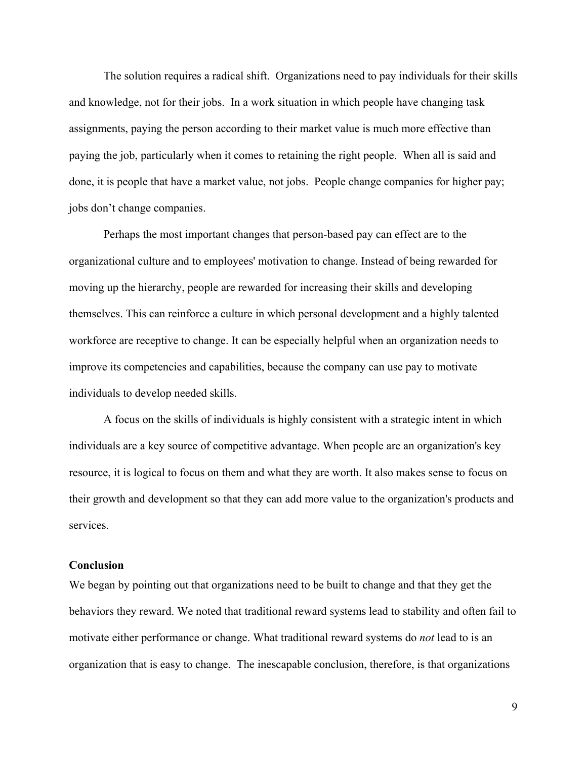The solution requires a radical shift. Organizations need to pay individuals for their skills and knowledge, not for their jobs. In a work situation in which people have changing task assignments, paying the person according to their market value is much more effective than paying the job, particularly when it comes to retaining the right people. When all is said and done, it is people that have a market value, not jobs. People change companies for higher pay; jobs don't change companies.

Perhaps the most important changes that person-based pay can effect are to the organizational culture and to employees' motivation to change. Instead of being rewarded for moving up the hierarchy, people are rewarded for increasing their skills and developing themselves. This can reinforce a culture in which personal development and a highly talented workforce are receptive to change. It can be especially helpful when an organization needs to improve its competencies and capabilities, because the company can use pay to motivate individuals to develop needed skills.

A focus on the skills of individuals is highly consistent with a strategic intent in which individuals are a key source of competitive advantage. When people are an organization's key resource, it is logical to focus on them and what they are worth. It also makes sense to focus on their growth and development so that they can add more value to the organization's products and services.

#### **Conclusion**

We began by pointing out that organizations need to be built to change and that they get the behaviors they reward. We noted that traditional reward systems lead to stability and often fail to motivate either performance or change. What traditional reward systems do *not* lead to is an organization that is easy to change. The inescapable conclusion, therefore, is that organizations